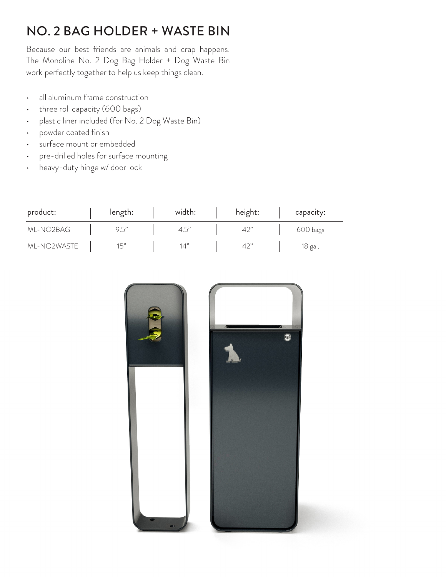## NO. 2 BAG HOLDER + WASTE BIN

Because our best friends are animals and crap happens. The Monoline No. 2 Dog Bag Holder + Dog Waste Bin work perfectly together to help us keep things clean.

- all aluminum frame construction
- three roll capacity (600 bags)
- plastic liner included (for No. 2 Dog Waste Bin)
- powder coated finish
- surface mount or embedded
- pre-drilled holes for surface mounting
- heavy-duty hinge w/ door lock

| product:    | length: | width: | height: | capacity: |
|-------------|---------|--------|---------|-----------|
| ML-NO2BAG   | 9.5"    | 4.5"   | 42"     | 600 bags  |
| ML-NO2WASTE | 15"     | 14"    | 42"     | 18 gal.   |

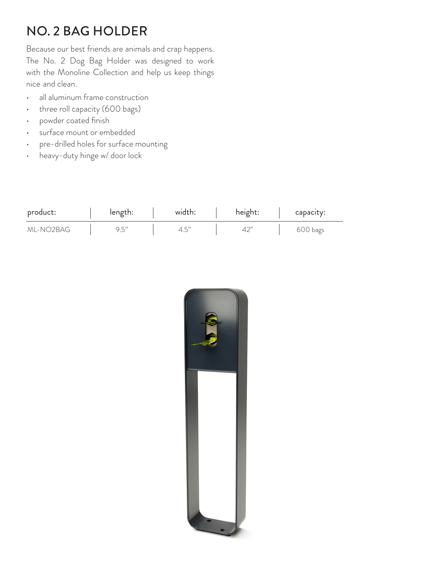## NO. 2 BAG HOLDER

Because our best friends are animals and crap happens. The No. 2 Dog Bag Holder was designed to work with the Monoline Collection and help us keep things nice and clean.

- all aluminum frame construction
- three roll capacity (600 bags)
- powder coated finish
- surface mount or embedded
- pre-drilled holes for surface mounting
- heavy-duty hinge w/ door lock

| product:  | length: | width: | height: | capacity: |
|-----------|---------|--------|---------|-----------|
| ml-NO2BAG | 9.5"    |        |         | 600 bags  |